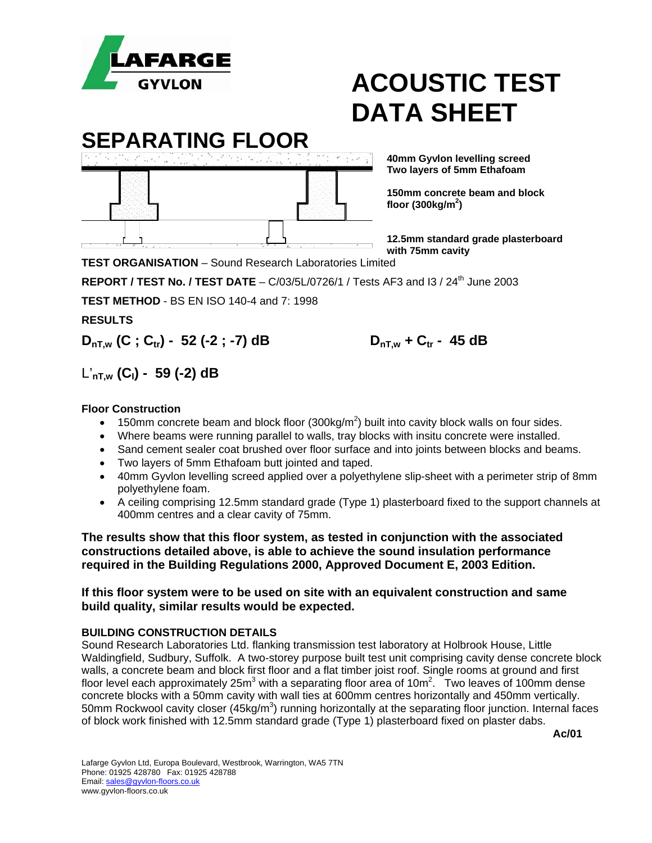

### **SEPARATING FLOOR**

 **40mm Gyvlon levelling screed** 

 **floor (300kg/m2 )** 

 **Two layers of 5mm Ethafoam** 

 **150mm concrete beam and block** 

 **12.5mm standard grade plasterboard with 75mm cavity** 

**TEST ORGANISATION** – Sound Research Laboratories Limited

**REPORT / TEST No. / TEST DATE** - C/03/5L/0726/1 / Tests AF3 and I3 / 24<sup>th</sup> June 2003

**TEST METHOD** - BS EN ISO 140-4 and 7: 1998

**RESULTS** 

 $D_{nT,w}$  (C; C<sub>tr</sub>) - 52 (-2; -7) dB  $D_{nT,w}$  + C<sub>tr</sub> - 45 dB

### L'**nT,w (CI) - 59 (-2) dB**

#### **Floor Construction**

- 150mm concrete beam and block floor  $(300\text{kg/m}^2)$  built into cavity block walls on four sides.
- Where beams were running parallel to walls, tray blocks with insitu concrete were installed.
- Sand cement sealer coat brushed over floor surface and into joints between blocks and beams.
- Two layers of 5mm Ethafoam butt jointed and taped.
- 40mm Gyvlon levelling screed applied over a polyethylene slip-sheet with a perimeter strip of 8mm polyethylene foam.
- A ceiling comprising 12.5mm standard grade (Type 1) plasterboard fixed to the support channels at 400mm centres and a clear cavity of 75mm.

**The results show that this floor system, as tested in conjunction with the associated constructions detailed above, is able to achieve the sound insulation performance required in the Building Regulations 2000, Approved Document E, 2003 Edition.** 

#### **If this floor system were to be used on site with an equivalent construction and same build quality, similar results would be expected.**

#### **BUILDING CONSTRUCTION DETAILS**

Sound Research Laboratories Ltd. flanking transmission test laboratory at Holbrook House, Little Waldingfield, Sudbury, Suffolk. A two-storey purpose built test unit comprising cavity dense concrete block walls, a concrete beam and block first floor and a flat timber joist roof. Single rooms at ground and first floor level each approximately 25m<sup>3</sup> with a separating floor area of 10m<sup>2</sup>. Two leaves of 100mm dense concrete blocks with a 50mm cavity with wall ties at 600mm centres horizontally and 450mm vertically. 50mm Rockwool cavity closer (45kg/m<sup>3</sup>) running horizontally at the separating floor junction. Internal faces of block work finished with 12.5mm standard grade (Type 1) plasterboard fixed on plaster dabs.

 **Ac/01**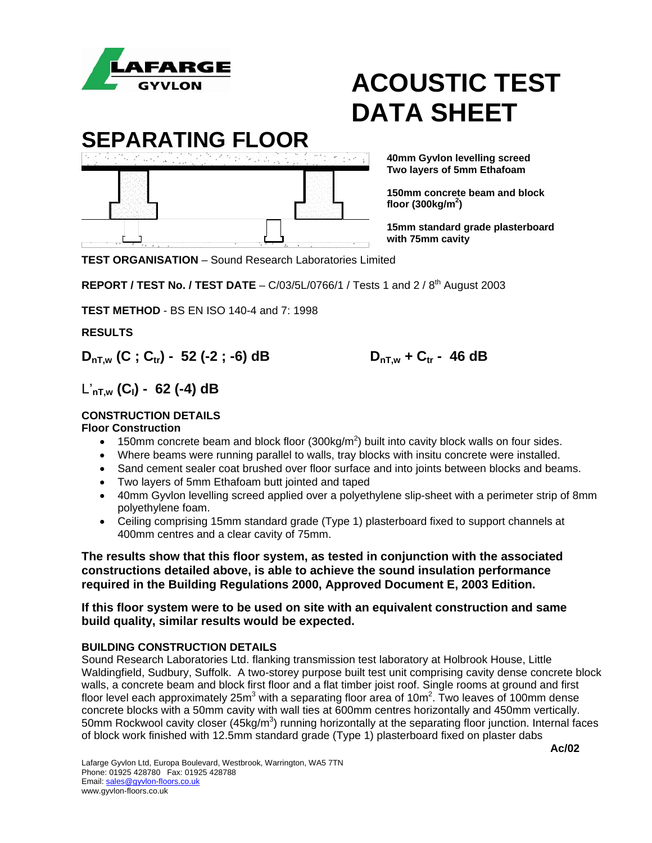

**SEPARATING FLOOR 40mm Gyvlon levelling screed** 

ा ताउँ तथा है। तथा सम्मान्य स्वास्थ्य स्वास्थ्य स्वास्थ्य स्वास्थ्य स्वास्थ्य स्वास्थ्य स्वास्थ्य स्वास्थ्य स<br>स्वास्थ्य स्वास्थ्य स्वास्थ्य स्वास्थ्य स्वास्थ्य स्वास्थ्य स्वास्थ्य स्वास्थ्य स्वास्थ्य स्वास्थ्य स्वास्थ्

 **Two layers of 5mm Ethafoam** 

**150mm concrete beam and block** 

**15mm standard grade plasterboard with 75mm cavity**

**TEST ORGANISATION** – Sound Research Laboratories Limited

**REPORT / TEST No. / TEST DATE – C/03/5L/0766/1 / Tests 1 and 2 / 8<sup>th</sup> August 2003** 

**TEST METHOD** - BS EN ISO 140-4 and 7: 1998

**RESULTS** 

 $D_{nT,w}$  (C; C<sub>tr</sub>) - 52 (-2; -6) dB  $D_{nT,w}$  + C<sub>tr</sub> - 46 dB

L'**nT,w (CI) - 62 (-4) dB** 

#### **CONSTRUCTION DETAILS**

#### **Floor Construction**

- 150mm concrete beam and block floor  $(300\text{kg/m}^2)$  built into cavity block walls on four sides.
- Where beams were running parallel to walls, tray blocks with insitu concrete were installed.
- Sand cement sealer coat brushed over floor surface and into joints between blocks and beams.
- Two layers of 5mm Ethafoam butt jointed and taped
- 40mm Gyvlon levelling screed applied over a polyethylene slip-sheet with a perimeter strip of 8mm polyethylene foam.
- Ceiling comprising 15mm standard grade (Type 1) plasterboard fixed to support channels at 400mm centres and a clear cavity of 75mm.

**The results show that this floor system, as tested in conjunction with the associated constructions detailed above, is able to achieve the sound insulation performance required in the Building Regulations 2000, Approved Document E, 2003 Edition.** 

#### **If this floor system were to be used on site with an equivalent construction and same build quality, similar results would be expected.**

#### **BUILDING CONSTRUCTION DETAILS**

Sound Research Laboratories Ltd. flanking transmission test laboratory at Holbrook House, Little Waldingfield, Sudbury, Suffolk. A two-storey purpose built test unit comprising cavity dense concrete block walls, a concrete beam and block first floor and a flat timber joist roof. Single rooms at ground and first floor level each approximately 25m<sup>3</sup> with a separating floor area of 10m<sup>2</sup>. Two leaves of 100mm dense concrete blocks with a 50mm cavity with wall ties at 600mm centres horizontally and 450mm vertically. 50mm Rockwool cavity closer (45kg/m<sup>3</sup>) running horizontally at the separating floor junction. Internal faces of block work finished with 12.5mm standard grade (Type 1) plasterboard fixed on plaster dabs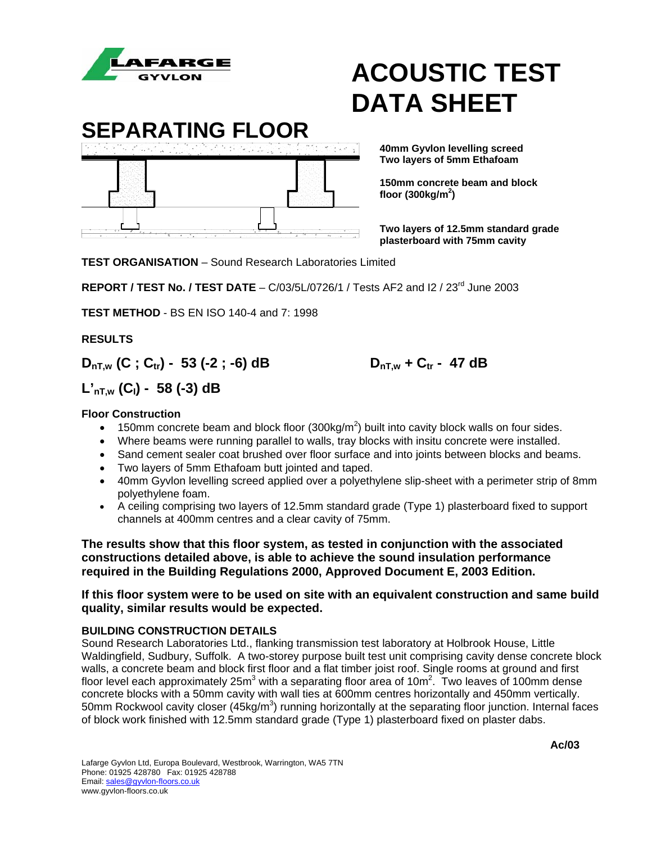



 **Two layers of 5mm Ethafoam** 

 **150mm concrete beam and block** 

 **Two layers of 12.5mm standard grade plasterboard with 75mm cavity**

**TEST ORGANISATION** – Sound Research Laboratories Limited

**REPORT / TEST No. / TEST DATE** – C/03/5L/0726/1 / Tests AF2 and I2 / 23rd June 2003

**TEST METHOD** - BS EN ISO 140-4 and 7: 1998

**RESULTS** 

 $D_{nT,w}$  (C; C<sub>tr</sub>) - 53 (-2; -6) dB  $D_{nT,w}$  + C<sub>tr</sub> - 47 dB

### **L'nT,w (CI) - 58 (-3) dB**

#### **Floor Construction**

- 150mm concrete beam and block floor  $(300\text{kg/m}^2)$  built into cavity block walls on four sides.
- Where beams were running parallel to walls, tray blocks with insitu concrete were installed.
- Sand cement sealer coat brushed over floor surface and into joints between blocks and beams.
- Two layers of 5mm Ethafoam butt jointed and taped.
- 40mm Gyvlon levelling screed applied over a polyethylene slip-sheet with a perimeter strip of 8mm polyethylene foam.
- A ceiling comprising two layers of 12.5mm standard grade (Type 1) plasterboard fixed to support channels at 400mm centres and a clear cavity of 75mm.

**The results show that this floor system, as tested in conjunction with the associated constructions detailed above, is able to achieve the sound insulation performance required in the Building Regulations 2000, Approved Document E, 2003 Edition.** 

#### **If this floor system were to be used on site with an equivalent construction and same build quality, similar results would be expected.**

#### **BUILDING CONSTRUCTION DETAILS**

Sound Research Laboratories Ltd., flanking transmission test laboratory at Holbrook House, Little Waldingfield, Sudbury, Suffolk. A two-storey purpose built test unit comprising cavity dense concrete block walls, a concrete beam and block first floor and a flat timber joist roof. Single rooms at ground and first floor level each approximately 25m<sup>3</sup> with a separating floor area of 10m<sup>2</sup>. Two leaves of 100mm dense concrete blocks with a 50mm cavity with wall ties at 600mm centres horizontally and 450mm vertically. 50mm Rockwool cavity closer (45kg/m<sup>3</sup>) running horizontally at the separating floor junction. Internal faces of block work finished with 12.5mm standard grade (Type 1) plasterboard fixed on plaster dabs.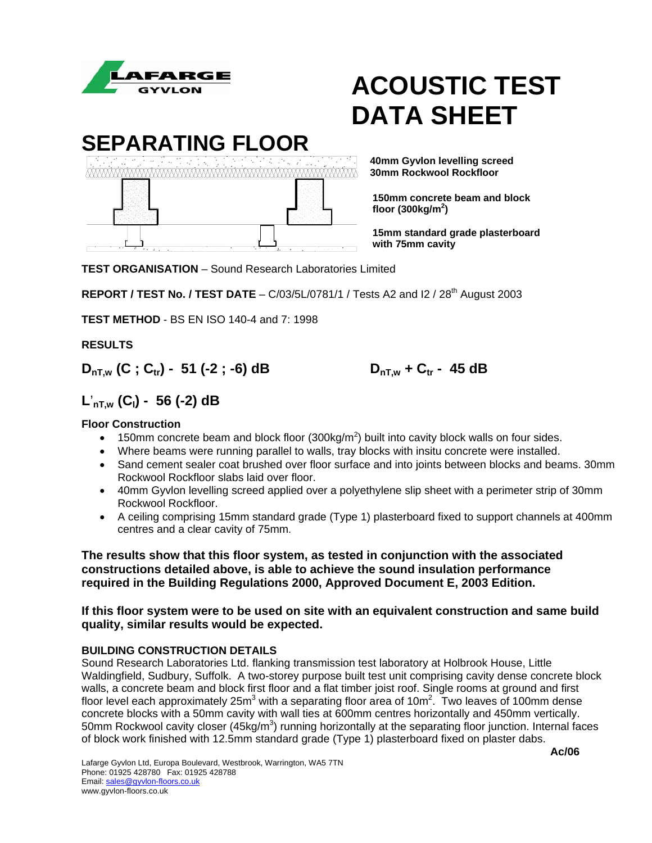

**SEPARATING FLOOR** 

 **40mm Gyvlon levelling screed 30mm Rockwool Rockfloor** 

> **150mm concrete beam and block floor (300kg/m2 )**

**15mm standard grade plasterboard with 75mm cavity**

**TEST ORGANISATION** – Sound Research Laboratories Limited

**REPORT / TEST No. / TEST DATE** –  $C/03/5L/0781/1$  / Tests A2 and  $12/28<sup>th</sup>$  August 2003

**TEST METHOD** - BS EN ISO 140-4 and 7: 1998

**RESULTS** 

 $D_{nT,w}$  (C; C<sub>tr</sub>) - 51 (-2; -6) dB  $D_{nT,w}$  + C<sub>tr</sub> - 45 dB

### **L**'**nT,w (CI) - 56 (-2) dB**

#### **Floor Construction**

- 150mm concrete beam and block floor  $(300\text{kg/m}^2)$  built into cavity block walls on four sides.
- Where beams were running parallel to walls, tray blocks with insitu concrete were installed.
- Sand cement sealer coat brushed over floor surface and into joints between blocks and beams. 30mm Rockwool Rockfloor slabs laid over floor.
- 40mm Gyvlon levelling screed applied over a polyethylene slip sheet with a perimeter strip of 30mm Rockwool Rockfloor.
- A ceiling comprising 15mm standard grade (Type 1) plasterboard fixed to support channels at 400mm centres and a clear cavity of 75mm.

**The results show that this floor system, as tested in conjunction with the associated constructions detailed above, is able to achieve the sound insulation performance required in the Building Regulations 2000, Approved Document E, 2003 Edition.** 

#### **If this floor system were to be used on site with an equivalent construction and same build quality, similar results would be expected.**

#### **BUILDING CONSTRUCTION DETAILS**

Sound Research Laboratories Ltd. flanking transmission test laboratory at Holbrook House, Little Waldingfield, Sudbury, Suffolk. A two-storey purpose built test unit comprising cavity dense concrete block walls, a concrete beam and block first floor and a flat timber joist roof. Single rooms at ground and first floor level each approximately 25m<sup>3</sup> with a separating floor area of 10m<sup>2</sup>. Two leaves of 100mm dense concrete blocks with a 50mm cavity with wall ties at 600mm centres horizontally and 450mm vertically. 50mm Rockwool cavity closer (45kg/m<sup>3</sup>) running horizontally at the separating floor junction. Internal faces of block work finished with 12.5mm standard grade (Type 1) plasterboard fixed on plaster dabs.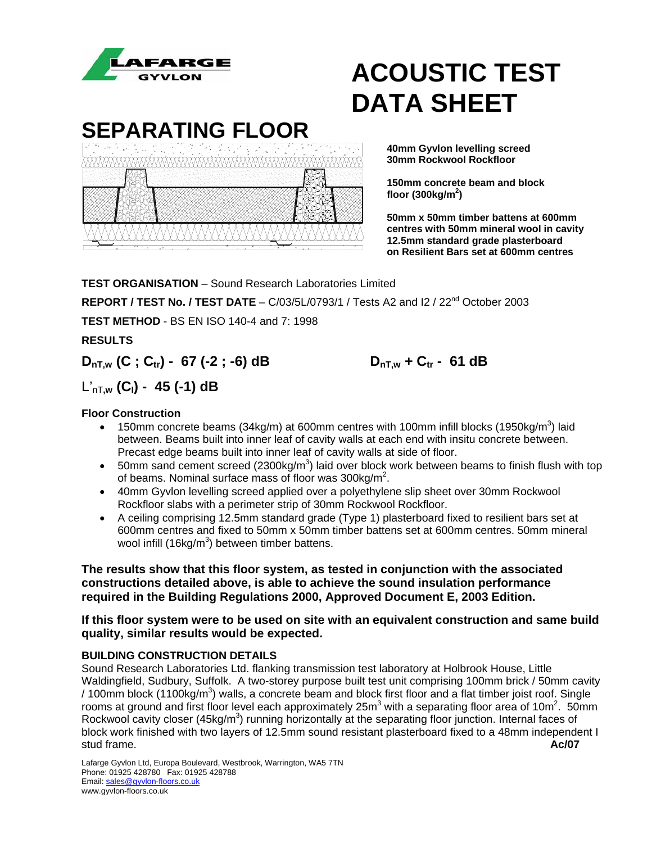

### **SEPARATING FLOOR**



 **40mm Gyvlon levelling screed** 

 **150mm concrete beam and block** 

 **50mm x 50mm timber battens at 600mm centres with 50mm mineral wool in cavity 12.5mm standard grade plasterboard on Resilient Bars set at 600mm centres**

**TEST ORGANISATION** – Sound Research Laboratories Limited **REPORT / TEST No. / TEST DATE** – C/03/5L/0793/1 / Tests A2 and I2 / 22<sup>nd</sup> October 2003 **TEST METHOD** - BS EN ISO 140-4 and 7: 1998 **RESULTS**   $D_{nT,w}$  (C; C<sub>tr</sub>) - 67 (-2; -6) dB  $D_{nT,w}$  + C<sub>tr</sub> - 61 dB

### L'nT**,w (CI) - 45 (-1) dB**

#### **Floor Construction**

- 150mm concrete beams (34kg/m) at 600mm centres with 100mm infill blocks (1950kg/m<sup>3</sup>) laid between. Beams built into inner leaf of cavity walls at each end with insitu concrete between. Precast edge beams built into inner leaf of cavity walls at side of floor.
- 50mm sand cement screed (2300kg/m<sup>3</sup>) laid over block work between beams to finish flush with top of beams. Nominal surface mass of floor was 300kg/m<sup>2</sup>.
- 40mm Gyvlon levelling screed applied over a polyethylene slip sheet over 30mm Rockwool Rockfloor slabs with a perimeter strip of 30mm Rockwool Rockfloor.
- A ceiling comprising 12.5mm standard grade (Type 1) plasterboard fixed to resilient bars set at 600mm centres and fixed to 50mm x 50mm timber battens set at 600mm centres. 50mm mineral wool infill (16kg/m<sup>3</sup>) between timber battens.

**The results show that this floor system, as tested in conjunction with the associated constructions detailed above, is able to achieve the sound insulation performance required in the Building Regulations 2000, Approved Document E, 2003 Edition.** 

**If this floor system were to be used on site with an equivalent construction and same build quality, similar results would be expected.** 

#### **BUILDING CONSTRUCTION DETAILS**

Sound Research Laboratories Ltd. flanking transmission test laboratory at Holbrook House, Little Waldingfield, Sudbury, Suffolk. A two-storey purpose built test unit comprising 100mm brick / 50mm cavity / 100mm block (1100kg/m<sup>3</sup>) walls, a concrete beam and block first floor and a flat timber joist roof. Single rooms at ground and first floor level each approximately 25m<sup>3</sup> with a separating floor area of 10m<sup>2</sup>. 50mm Rockwool cavity closer (45kg/m<sup>3</sup>) running horizontally at the separating floor junction. Internal faces of block work finished with two layers of 12.5mm sound resistant plasterboard fixed to a 48mm independent I stud frame. **Ac/07**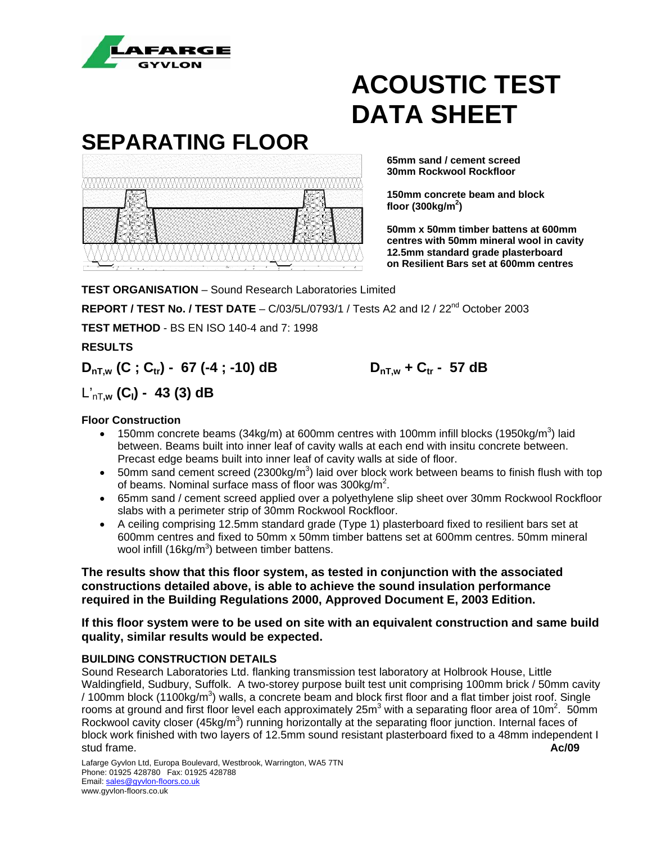

# **SEPARATING FLOOR 30mm Rockwool Rockfloor**  WWWWWW  **floor (300kg/m2 )**

### **ACOUSTIC TEST DATA SHEET**

 **65mm sand / cement screed** 

 **150mm concrete beam and block** 

 **50mm x 50mm timber battens at 600mm centres with 50mm mineral wool in cavity 12.5mm standard grade plasterboard on Resilient Bars set at 600mm centres**

**TEST ORGANISATION** – Sound Research Laboratories Limited **REPORT / TEST No. / TEST DATE** - C/03/5L/0793/1 / Tests A2 and I2 / 22<sup>nd</sup> October 2003 **TEST METHOD** - BS EN ISO 140-4 and 7: 1998

**RESULTS** 

### $D_{nT,w}$  (C; C<sub>tr</sub>) - 67 (-4; -10) dB  $D_{nT,w}$  + C<sub>tr</sub> - 57 dB

### L'nT**,w (CI) - 43 (3) dB**

#### **Floor Construction**

- 150mm concrete beams (34kg/m) at 600mm centres with 100mm infill blocks (1950kg/m<sup>3</sup>) laid between. Beams built into inner leaf of cavity walls at each end with insitu concrete between. Precast edge beams built into inner leaf of cavity walls at side of floor.
- 50mm sand cement screed (2300kg/m<sup>3</sup>) laid over block work between beams to finish flush with top of beams. Nominal surface mass of floor was 300kg/m<sup>2</sup>.
- 65mm sand / cement screed applied over a polyethylene slip sheet over 30mm Rockwool Rockfloor slabs with a perimeter strip of 30mm Rockwool Rockfloor.
- A ceiling comprising 12.5mm standard grade (Type 1) plasterboard fixed to resilient bars set at 600mm centres and fixed to 50mm x 50mm timber battens set at 600mm centres. 50mm mineral wool infill (16kg/m<sup>3</sup>) between timber battens.

**The results show that this floor system, as tested in conjunction with the associated constructions detailed above, is able to achieve the sound insulation performance required in the Building Regulations 2000, Approved Document E, 2003 Edition.** 

#### **If this floor system were to be used on site with an equivalent construction and same build quality, similar results would be expected.**

#### **BUILDING CONSTRUCTION DETAILS**

Sound Research Laboratories Ltd. flanking transmission test laboratory at Holbrook House, Little Waldingfield, Sudbury, Suffolk. A two-storey purpose built test unit comprising 100mm brick / 50mm cavity / 100mm block (1100kg/m<sup>3</sup>) walls, a concrete beam and block first floor and a flat timber joist roof. Single rooms at ground and first floor level each approximately 25 $m<sup>3</sup>$  with a separating floor area of 10 $m<sup>2</sup>$ . 50mm Rockwool cavity closer (45kg/m<sup>3</sup>) running horizontally at the separating floor junction. Internal faces of block work finished with two layers of 12.5mm sound resistant plasterboard fixed to a 48mm independent I stud frame. **Ac/09**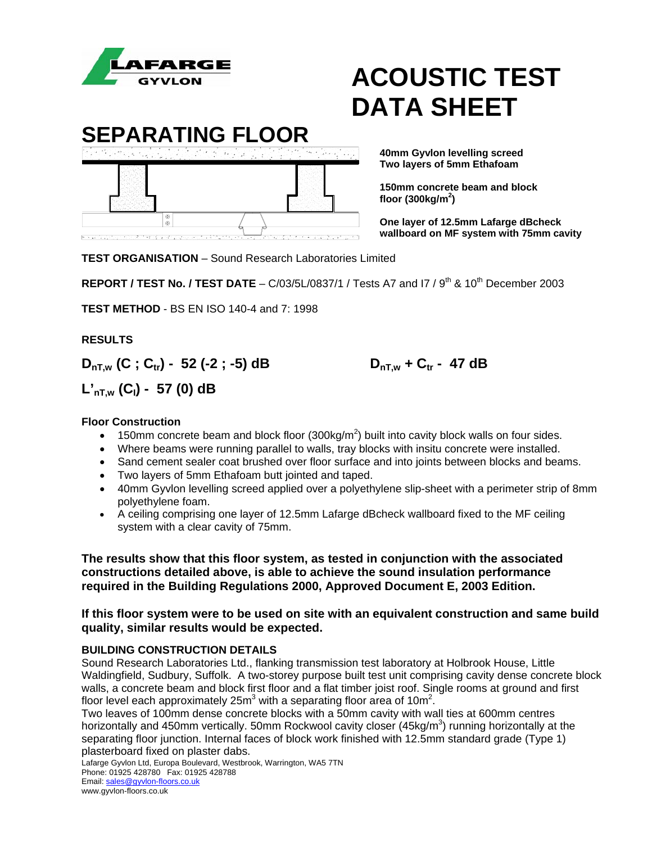



 **Two layers of 5mm Ethafoam** 

 **150mm concrete beam and block floor (300kg/m2 )** 

> **One layer of 12.5mm Lafarge dBcheck**  *Wallboard on MF system with 75mm cavity*

**TEST ORGANISATION** – Sound Research Laboratories Limited

**REPORT / TEST No. / TEST DATE** – C/03/5L/0837/1 / Tests A7 and I7 / 9<sup>th</sup> & 10<sup>th</sup> December 2003

**TEST METHOD** - BS EN ISO 140-4 and 7: 1998

**RESULTS** 

 $D_{nT,w}$  (C; C<sub>tr</sub>) - 52 (-2; -5) dB  $D_{nT,w}$  + C<sub>tr</sub> - 47 dB

**L'nT,w (CI) - 57 (0) dB** 

#### **Floor Construction**

- 150mm concrete beam and block floor  $(300\text{kg/m}^2)$  built into cavity block walls on four sides.
- Where beams were running parallel to walls, tray blocks with insitu concrete were installed.
- Sand cement sealer coat brushed over floor surface and into joints between blocks and beams.
- Two layers of 5mm Ethafoam butt jointed and taped.
- 40mm Gyvlon levelling screed applied over a polyethylene slip-sheet with a perimeter strip of 8mm polyethylene foam.
- A ceiling comprising one layer of 12.5mm Lafarge dBcheck wallboard fixed to the MF ceiling system with a clear cavity of 75mm.

**The results show that this floor system, as tested in conjunction with the associated constructions detailed above, is able to achieve the sound insulation performance required in the Building Regulations 2000, Approved Document E, 2003 Edition.** 

**If this floor system were to be used on site with an equivalent construction and same build quality, similar results would be expected.** 

#### **BUILDING CONSTRUCTION DETAILS**

Sound Research Laboratories Ltd., flanking transmission test laboratory at Holbrook House, Little Waldingfield, Sudbury, Suffolk. A two-storey purpose built test unit comprising cavity dense concrete block walls, a concrete beam and block first floor and a flat timber joist roof. Single rooms at ground and first floor level each approximately 25m<sup>3</sup> with a separating floor area of 10m<sup>2</sup>.

Two leaves of 100mm dense concrete blocks with a 50mm cavity with wall ties at 600mm centres horizontally and 450mm vertically. 50mm Rockwool cavity closer (45kg/m<sup>3</sup>) running horizontally at the separating floor junction. Internal faces of block work finished with 12.5mm standard grade (Type 1) plasterboard fixed on plaster dabs.

Lafarge Gyvlon Ltd, Europa Boulevard, Westbrook, Warrington, WA5 7TN Phone: 01925 428780 Fax: 01925 428788 Email: sales@gyvlon-floors.co.uk www.gyvlon-floors.co.uk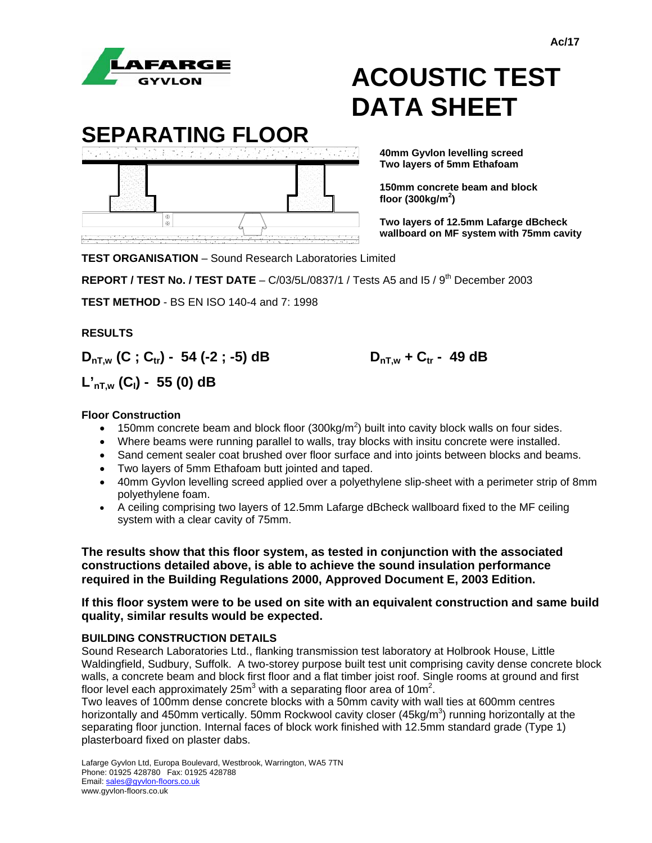

**SEPARATING FLOOR 40mm Gyvlon levelling screed floor (300kg/m2 )** 

 **Two layers of 5mm Ethafoam** 

 **150mm concrete beam and block** 

 **Two layers of 12.5mm Lafarge dBcheck wallboard on MF system with 75mm cavity**

**TEST ORGANISATION** – Sound Research Laboratories Limited

**REPORT / TEST No. / TEST DATE** – C/03/5L/0837/1 / Tests A5 and 15 / 9<sup>th</sup> December 2003

**TEST METHOD** - BS EN ISO 140-4 and 7: 1998

#### **RESULTS**

 $D_{nT,w}$  (C; C<sub>tr</sub>) - 54 (-2; -5) dB  $D_{nT,w}$  + C<sub>tr</sub> - 49 dB

**L'nT,w (CI) - 55 (0) dB** 

#### **Floor Construction**

- 150mm concrete beam and block floor  $(300\text{kg/m}^2)$  built into cavity block walls on four sides.
- Where beams were running parallel to walls, tray blocks with insitu concrete were installed.
- Sand cement sealer coat brushed over floor surface and into joints between blocks and beams.
- Two layers of 5mm Ethafoam butt jointed and taped.
- 40mm Gyvlon levelling screed applied over a polyethylene slip-sheet with a perimeter strip of 8mm polyethylene foam.
- A ceiling comprising two layers of 12.5mm Lafarge dBcheck wallboard fixed to the MF ceiling system with a clear cavity of 75mm.

**The results show that this floor system, as tested in conjunction with the associated constructions detailed above, is able to achieve the sound insulation performance required in the Building Regulations 2000, Approved Document E, 2003 Edition.** 

#### **If this floor system were to be used on site with an equivalent construction and same build quality, similar results would be expected.**

#### **BUILDING CONSTRUCTION DETAILS**

Sound Research Laboratories Ltd., flanking transmission test laboratory at Holbrook House, Little Waldingfield, Sudbury, Suffolk. A two-storey purpose built test unit comprising cavity dense concrete block walls, a concrete beam and block first floor and a flat timber joist roof. Single rooms at ground and first floor level each approximately 25m<sup>3</sup> with a separating floor area of 10m<sup>2</sup>.

Two leaves of 100mm dense concrete blocks with a 50mm cavity with wall ties at 600mm centres horizontally and 450mm vertically. 50mm Rockwool cavity closer (45kg/m<sup>3</sup>) running horizontally at the separating floor junction. Internal faces of block work finished with 12.5mm standard grade (Type 1) plasterboard fixed on plaster dabs.

Lafarge Gyvlon Ltd, Europa Boulevard, Westbrook, Warrington, WA5 7TN Phone: 01925 428780 Fax: 01925 428788 Email: sales@gyvlon-floors.co.uk www.gyvlon-floors.co.uk